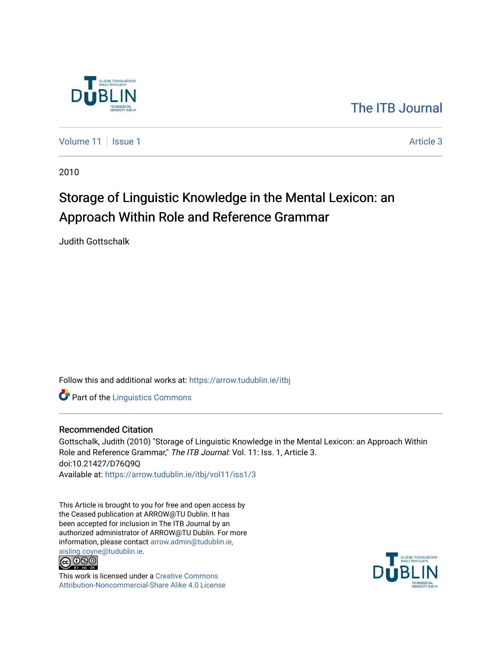

# [The ITB Journal](https://arrow.tudublin.ie/itbj)

[Volume 11](https://arrow.tudublin.ie/itbj/vol11) | [Issue 1](https://arrow.tudublin.ie/itbj/vol11/iss1) Article 3

2010

# Storage of Linguistic Knowledge in the Mental Lexicon: an Approach Within Role and Reference Grammar

Judith Gottschalk

Follow this and additional works at: [https://arrow.tudublin.ie/itbj](https://arrow.tudublin.ie/itbj?utm_source=arrow.tudublin.ie%2Fitbj%2Fvol11%2Fiss1%2F3&utm_medium=PDF&utm_campaign=PDFCoverPages) 

**Part of the Linguistics Commons** 

#### Recommended Citation

Gottschalk, Judith (2010) "Storage of Linguistic Knowledge in the Mental Lexicon: an Approach Within Role and Reference Grammar," The ITB Journal: Vol. 11: Iss. 1, Article 3. doi:10.21427/D76Q9Q Available at: [https://arrow.tudublin.ie/itbj/vol11/iss1/3](https://arrow.tudublin.ie/itbj/vol11/iss1/3?utm_source=arrow.tudublin.ie%2Fitbj%2Fvol11%2Fiss1%2F3&utm_medium=PDF&utm_campaign=PDFCoverPages)

This Article is brought to you for free and open access by the Ceased publication at ARROW@TU Dublin. It has been accepted for inclusion in The ITB Journal by an authorized administrator of ARROW@TU Dublin. For more information, please contact [arrow.admin@tudublin.ie,](mailto:arrow.admin@tudublin.ie,%20aisling.coyne@tudublin.ie) 



This work is licensed under a [Creative Commons](http://creativecommons.org/licenses/by-nc-sa/4.0/) [Attribution-Noncommercial-Share Alike 4.0 License](http://creativecommons.org/licenses/by-nc-sa/4.0/)

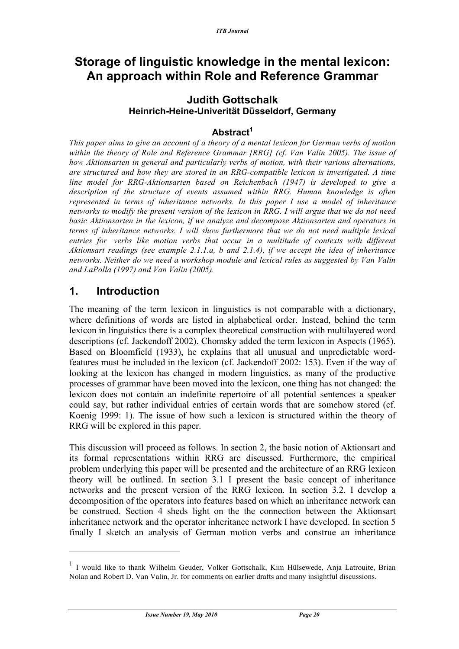# **Storage of linguistic knowledge in the mental lexicon: An approach within Role and Reference Grammar**

### **Judith Gottschalk Heinrich-Heine-Univerität Düsseldorf, Germany**

### **Abstract<sup>1</sup>**

*This paper aims to give an account of a theory of a mental lexicon for German verbs of motion within the theory of Role and Reference Grammar [RRG] (cf. Van Valin 2005). The issue of how Aktionsarten in general and particularly verbs of motion, with their various alternations, are structured and how they are stored in an RRG-compatible lexicon is investigated. A time line model for RRG-Aktionsarten based on Reichenbach (1947) is developed to give a description of the structure of events assumed within RRG. Human knowledge is often represented in terms of inheritance networks. In this paper I use a model of inheritance networks to modify the present version of the lexicon in RRG. I will argue that we do not need basic Aktionsarten in the lexicon, if we analyze and decompose Aktionsarten and operators in terms of inheritance networks. I will show furthermore that we do not need multiple lexical entries for verbs like motion verbs that occur in a multitude of contexts with different Aktionsart readings (see example 2.1.1.a, b and 2.1.4), if we accept the idea of inheritance networks. Neither do we need a workshop module and lexical rules as suggested by Van Valin and LaPolla (1997) and Van Valin (2005).*

### **1. Introduction**

 $\overline{a}$ 

The meaning of the term lexicon in linguistics is not comparable with a dictionary, where definitions of words are listed in alphabetical order. Instead, behind the term lexicon in linguistics there is a complex theoretical construction with multilayered word descriptions (cf. Jackendoff 2002). Chomsky added the term lexicon in Aspects (1965). Based on Bloomfield (1933), he explains that all unusual and unpredictable wordfeatures must be included in the lexicon (cf. Jackendoff 2002: 153). Even if the way of looking at the lexicon has changed in modern linguistics, as many of the productive processes of grammar have been moved into the lexicon, one thing has not changed: the lexicon does not contain an indefinite repertoire of all potential sentences a speaker could say, but rather individual entries of certain words that are somehow stored (cf. Koenig 1999: 1). The issue of how such a lexicon is structured within the theory of RRG will be explored in this paper.

This discussion will proceed as follows. In section 2, the basic notion of Aktionsart and its formal representations within RRG are discussed. Furthermore, the empirical problem underlying this paper will be presented and the architecture of an RRG lexicon theory will be outlined. In section 3.1 I present the basic concept of inheritance networks and the present version of the RRG lexicon. In section 3.2. I develop a decomposition of the operators into features based on which an inheritance network can be construed. Section 4 sheds light on the the connection between the Aktionsart inheritance network and the operator inheritance network I have developed. In section 5 finally I sketch an analysis of German motion verbs and construe an inheritance

<sup>&</sup>lt;sup>1</sup> I would like to thank Wilhelm Geuder, Volker Gottschalk, Kim Hülsewede, Anja Latrouite, Brian Nolan and Robert D. Van Valin, Jr. for comments on earlier drafts and many insightful discussions.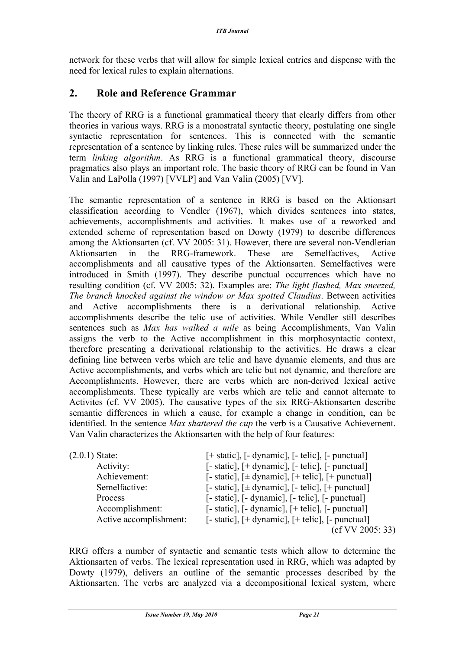network for these verbs that will allow for simple lexical entries and dispense with the need for lexical rules to explain alternations.

### **2. Role and Reference Grammar**

The theory of RRG is a functional grammatical theory that clearly differs from other theories in various ways. RRG is a monostratal syntactic theory, postulating one single syntactic representation for sentences. This is connected with the semantic representation of a sentence by linking rules. These rules will be summarized under the term *linking algorithm*. As RRG is a functional grammatical theory, discourse pragmatics also plays an important role. The basic theory of RRG can be found in Van Valin and LaPolla (1997) [VVLP] and Van Valin (2005) [VV].

The semantic representation of a sentence in RRG is based on the Aktionsart classification according to Vendler (1967), which divides sentences into states, achievements, accomplishments and activities. It makes use of a reworked and extended scheme of representation based on Dowty (1979) to describe differences among the Aktionsarten (cf. VV 2005: 31). However, there are several non-Vendlerian Aktionsarten in the RRG-framework. These are Semelfactives, Active accomplishments and all causative types of the Aktionsarten. Semelfactives were introduced in Smith (1997). They describe punctual occurrences which have no resulting condition (cf. VV 2005: 32). Examples are: *The light flashed, Max sneezed, The branch knocked against the window or Max spotted Claudius*. Between activities and Active accomplishments there is a derivational relationship. Active accomplishments describe the telic use of activities. While Vendler still describes sentences such as *Max has walked a mile* as being Accomplishments, Van Valin assigns the verb to the Active accomplishment in this morphosyntactic context, therefore presenting a derivational relationship to the activities. He draws a clear defining line between verbs which are telic and have dynamic elements, and thus are Active accomplishments, and verbs which are telic but not dynamic, and therefore are Accomplishments. However, there are verbs which are non-derived lexical active accomplishments. These typically are verbs which are telic and cannot alternate to Activites (cf. VV 2005). The causative types of the six RRG-Aktionsarten describe semantic differences in which a cause, for example a change in condition, can be identified. In the sentence *Max shattered the cup* the verb is a Causative Achievement. Van Valin characterizes the Aktionsarten with the help of four features:

| $(2.0.1)$ State:       | [+ static], [- dynamic], [- telic], [- punctual]                                                                                        |
|------------------------|-----------------------------------------------------------------------------------------------------------------------------------------|
| Activity:              | $\lceil - \text{static} \rceil$ , $\lceil + \text{dynamic} \rceil$ , $\lceil - \text{telic} \rceil$ , $\lceil - \text{punctual} \rceil$ |
| Achievement:           | [- static], $[\pm$ dynamic], $[+$ telic], $[+$ punctual]                                                                                |
| Semelfactive:          | [- static], $[\pm \text{ dynamic}]$ , [- telic], [+ punctual]                                                                           |
| Process                | $\lceil - \text{static} \rceil$ , $\lceil - \text{dynamic} \rceil$ , $\lceil - \text{telic} \rceil$ , $\lceil - \text{punctual} \rceil$ |
| Accomplishment:        | $\lceil - \text{static} \rceil$ , $\lceil - \text{dynamic} \rceil$ , $\lceil + \text{telic} \rceil$ , $\lceil - \text{punctual} \rceil$ |
| Active accomplishment: | $[-$ static], $[+$ dynamic], $[+$ telic], $[-$ punctual]                                                                                |
|                        | (cfVV 2005: 33)                                                                                                                         |

RRG offers a number of syntactic and semantic tests which allow to determine the Aktionsarten of verbs. The lexical representation used in RRG, which was adapted by Dowty (1979), delivers an outline of the semantic processes described by the Aktionsarten. The verbs are analyzed via a decompositional lexical system, where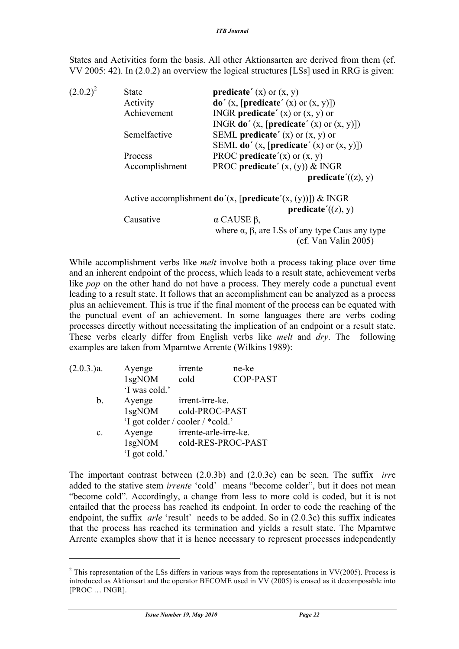States and Activities form the basis. All other Aktionsarten are derived from them (cf. VV 2005: 42). In (2.0.2) an overview the logical structures [LSs] used in RRG is given:

 $(2.0.2)^2$  State **predicate**' (x) or (x, y) Activity **do'**  $(x,$  **[predicate'**  $(x)$  or  $(x, y)$ ]) Achievement INGR **predicate´** (x) or (x, y) or INGR **do´** (x, [**predicate´** (x) or (x, y)]) Semelfactive SEML **predicate´** (x) or (x, y) or SEML **do´** (x, [**predicate´** (x) or (x, y)]) Process PROC **predicate** $'(\mathbf{x})$  or  $(\mathbf{x}, \mathbf{y})$ Accomplishment PROC **predicate**'  $(x, (y))$  & INGR **predicate´**((z), y) Active accomplishment **do´**(x, [**predicate´**(x, (y))]) & INGR **predicate´**((z), y) Causative α CAUSE β, where  $\alpha$ ,  $\beta$ , are LSs of any type Caus any type (cf. Van Valin 2005)

While accomplishment verbs like *melt* involve both a process taking place over time and an inherent endpoint of the process, which leads to a result state, achievement verbs like *pop* on the other hand do not have a process. They merely code a punctual event leading to a result state. It follows that an accomplishment can be analyzed as a process plus an achievement. This is true if the final moment of the process can be equated with the punctual event of an achievement. In some languages there are verbs coding processes directly without necessitating the implication of an endpoint or a result state. These verbs clearly differ from English verbs like *melt* and *dry*. The following examples are taken from Mparntwe Arrente (Wilkins 1989):

| (2.0.3.)a. | Ayenge        | irrente                          | ne-ke           |
|------------|---------------|----------------------------------|-----------------|
|            | 1sgNOM        | cold                             | <b>COP-PAST</b> |
|            | 'I was cold.' |                                  |                 |
| b.         | Ayenge        | irrent-irre-ke.                  |                 |
|            | 1sgNOM        | cold-PROC-PAST                   |                 |
|            |               | 'I got colder / cooler / *cold.' |                 |
| c.         | Ayenge        | irrente-arle-irre-ke.            |                 |
|            | $1$ sgNOM     | cold-RES-PROC-PAST               |                 |
|            | 'I got cold.' |                                  |                 |

The important contrast between (2.0.3b) and (2.0.3c) can be seen. The suffix *irr*e added to the stative stem *irrente* 'cold' means "become colder", but it does not mean "become cold". Accordingly, a change from less to more cold is coded, but it is not entailed that the process has reached its endpoint. In order to code the reaching of the endpoint, the suffix *arle* 'result' needs to be added. So in (2.0.3c) this suffix indicates that the process has reached its termination and yields a result state. The Mparntwe Arrente examples show that it is hence necessary to represent processes independently

 $\overline{a}$ 

<sup>&</sup>lt;sup>2</sup> This representation of the LSs differs in various ways from the representations in VV(2005). Process is introduced as Aktionsart and the operator BECOME used in VV (2005) is erased as it decomposable into [PROC … INGR].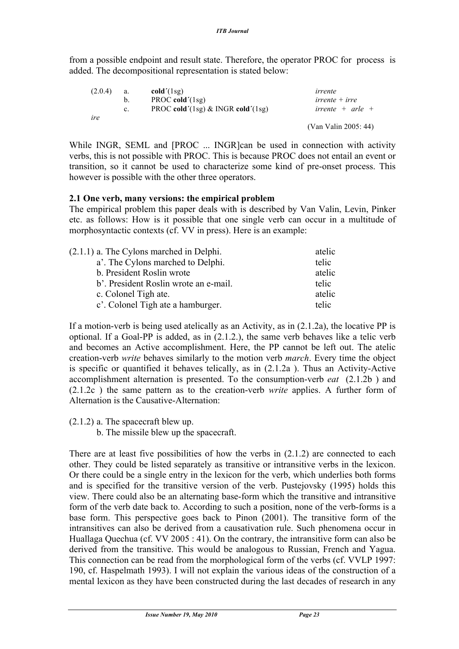from a possible endpoint and result state. Therefore, the operator PROC for process is added. The decompositional representation is stated below:

| (2.0.4) | a.      | cold'(1sg)                           | irrente              |
|---------|---------|--------------------------------------|----------------------|
|         | b.      | PROC cold' $(1sg)$                   | $irrente + irre$     |
|         | $c_{-}$ | PROC cold'(1sg) $\&$ INGR cold'(1sg) | irrente + arle +     |
| ire     |         |                                      |                      |
|         |         |                                      | (Van Valin 2005: 44) |

While INGR, SEML and [PROC ... INGR]can be used in connection with activity verbs, this is not possible with PROC. This is because PROC does not entail an event or transition, so it cannot be used to characterize some kind of pre-onset process. This however is possible with the other three operators.

#### **2.1 One verb, many versions: the empirical problem**

The empirical problem this paper deals with is described by Van Valin, Levin, Pinker etc. as follows: How is it possible that one single verb can occur in a multitude of morphosyntactic contexts (cf. VV in press). Here is an example:

| $(2.1.1)$ a. The Cylons marched in Delphi. | atelic |
|--------------------------------------------|--------|
| a'. The Cylons marched to Delphi.          | telic  |
| b. President Roslin wrote                  | atelic |
| b'. President Roslin wrote an e-mail.      | telic  |
| c. Colonel Tigh ate.                       | atelic |
| c'. Colonel Tigh ate a hamburger.          | telic  |

If a motion-verb is being used atelically as an Activity, as in (2.1.2a), the locative PP is optional. If a Goal-PP is added, as in (2.1.2.), the same verb behaves like a telic verb and becomes an Active accomplishment. Here, the PP cannot be left out. The atelic creation-verb *write* behaves similarly to the motion verb *march*. Every time the object is specific or quantified it behaves telically, as in (2.1.2a ). Thus an Activity-Active accomplishment alternation is presented. To the consumption-verb *eat* (2.1.2b ) and (2.1.2c ) the same pattern as to the creation-verb *write* applies. A further form of Alternation is the Causative-Alternation:

(2.1.2) a. The spacecraft blew up.

b. The missile blew up the spacecraft.

There are at least five possibilities of how the verbs in  $(2.1.2)$  are connected to each other. They could be listed separately as transitive or intransitive verbs in the lexicon. Or there could be a single entry in the lexicon for the verb, which underlies both forms and is specified for the transitive version of the verb. Pustejovsky (1995) holds this view. There could also be an alternating base-form which the transitive and intransitive form of the verb date back to. According to such a position, none of the verb-forms is a base form. This perspective goes back to Pinon (2001). The transitive form of the intransitives can also be derived from a causativation rule. Such phenomena occur in Huallaga Quechua (cf. VV 2005 : 41). On the contrary, the intransitive form can also be derived from the transitive. This would be analogous to Russian, French and Yagua. This connection can be read from the morphological form of the verbs (cf. VVLP 1997: 190, cf. Haspelmath 1993). I will not explain the various ideas of the construction of a mental lexicon as they have been constructed during the last decades of research in any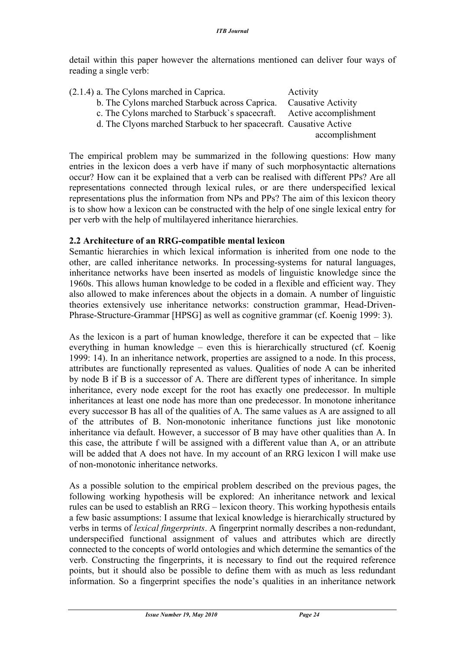detail within this paper however the alternations mentioned can deliver four ways of reading a single verb:

| $(2.1.4)$ a. The Cylons marched in Caprica. |                                                                       | Activity           |
|---------------------------------------------|-----------------------------------------------------------------------|--------------------|
|                                             | b. The Cylons marched Starbuck across Caprica.                        | Causative Activity |
|                                             | c. The Cylons marched to Starbuck's spacecraft. Active accomplishment |                    |
|                                             | d. The Clyons marched Starbuck to her spacecraft. Causative Active    |                    |
|                                             |                                                                       | accomplishment     |
|                                             |                                                                       |                    |

The empirical problem may be summarized in the following questions: How many entries in the lexicon does a verb have if many of such morphosyntactic alternations occur? How can it be explained that a verb can be realised with different PPs? Are all representations connected through lexical rules, or are there underspecified lexical representations plus the information from NPs and PPs? The aim of this lexicon theory is to show how a lexicon can be constructed with the help of one single lexical entry for per verb with the help of multilayered inheritance hierarchies.

### **2.2 Architecture of an RRG-compatible mental lexicon**

Semantic hierarchies in which lexical information is inherited from one node to the other, are called inheritance networks. In processing-systems for natural languages, inheritance networks have been inserted as models of linguistic knowledge since the 1960s. This allows human knowledge to be coded in a flexible and efficient way. They also allowed to make inferences about the objects in a domain. A number of linguistic theories extensively use inheritance networks: construction grammar, Head-Driven-Phrase-Structure-Grammar [HPSG] as well as cognitive grammar (cf. Koenig 1999: 3).

As the lexicon is a part of human knowledge, therefore it can be expected that – like everything in human knowledge – even this is hierarchically structured (cf. Koenig 1999: 14). In an inheritance network, properties are assigned to a node. In this process, attributes are functionally represented as values. Qualities of node A can be inherited by node B if B is a successor of A. There are different types of inheritance. In simple inheritance, every node except for the root has exactly one predecessor. In multiple inheritances at least one node has more than one predecessor. In monotone inheritance every successor B has all of the qualities of A. The same values as A are assigned to all of the attributes of B. Non-monotonic inheritance functions just like monotonic inheritance via default. However, a successor of B may have other qualities than A. In this case, the attribute f will be assigned with a different value than A, or an attribute will be added that A does not have. In my account of an RRG lexicon I will make use of non-monotonic inheritance networks.

As a possible solution to the empirical problem described on the previous pages, the following working hypothesis will be explored: An inheritance network and lexical rules can be used to establish an RRG – lexicon theory. This working hypothesis entails a few basic assumptions: I assume that lexical knowledge is hierarchically structured by verbs in terms of *lexical fingerprints*. A fingerprint normally describes a non-redundant, underspecified functional assignment of values and attributes which are directly connected to the concepts of world ontologies and which determine the semantics of the verb. Constructing the fingerprints, it is necessary to find out the required reference points, but it should also be possible to define them with as much as less redundant information. So a fingerprint specifies the node's qualities in an inheritance network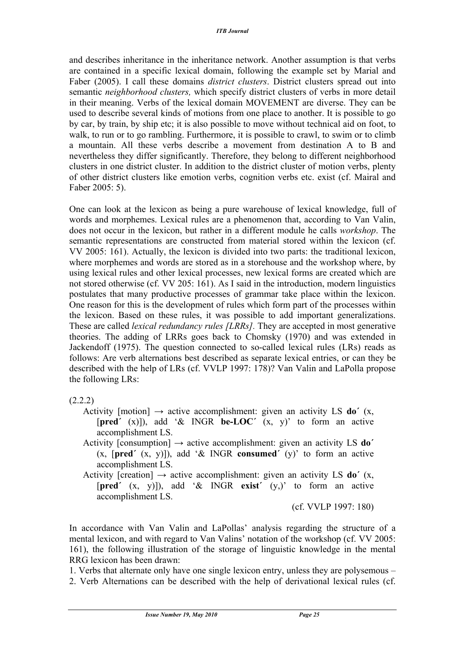and describes inheritance in the inheritance network. Another assumption is that verbs are contained in a specific lexical domain, following the example set by Marial and Faber (2005). I call these domains *district clusters*. District clusters spread out into semantic *neighborhood clusters,* which specify district clusters of verbs in more detail in their meaning. Verbs of the lexical domain MOVEMENT are diverse. They can be used to describe several kinds of motions from one place to another. It is possible to go by car, by train, by ship etc; it is also possible to move without technical aid on foot, to walk, to run or to go rambling. Furthermore, it is possible to crawl, to swim or to climb a mountain. All these verbs describe a movement from destination A to B and nevertheless they differ significantly. Therefore, they belong to different neighborhood clusters in one district cluster. In addition to the district cluster of motion verbs, plenty of other district clusters like emotion verbs, cognition verbs etc. exist (cf. Mairal and Faber 2005: 5).

One can look at the lexicon as being a pure warehouse of lexical knowledge, full of words and morphemes. Lexical rules are a phenomenon that, according to Van Valin, does not occur in the lexicon, but rather in a different module he calls *workshop*. The semantic representations are constructed from material stored within the lexicon (cf. VV 2005: 161). Actually, the lexicon is divided into two parts: the traditional lexicon, where morphemes and words are stored as in a storehouse and the workshop where, by using lexical rules and other lexical processes, new lexical forms are created which are not stored otherwise (cf. VV 205: 161). As I said in the introduction, modern linguistics postulates that many productive processes of grammar take place within the lexicon. One reason for this is the development of rules which form part of the processes within the lexicon. Based on these rules, it was possible to add important generalizations. These are called *lexical redundancy rules [LRRs].* They are accepted in most generative theories. The adding of LRRs goes back to Chomsky (1970) and was extended in Jackendoff (1975). The question connected to so-called lexical rules (LRs) reads as follows: Are verb alternations best described as separate lexical entries, or can they be described with the help of LRs (cf. VVLP 1997: 178)? Van Valin and LaPolla propose the following LRs:

#### (2.2.2)

- Activity [motion]  $\rightarrow$  active accomplishment: given an activity LS **do**<sup> $\prime$ </sup> (x, [**pred´** (x)]), add '& INGR **be-LOC´** (x, y)' to form an active accomplishment LS.
- Activity [consumption] → active accomplishment: given an activity LS **do´** (x, [**pred´** (x, y)]), add '& INGR **consumed´** (y)' to form an active accomplishment LS.
- Activity [creation]  $\rightarrow$  active accomplishment: given an activity LS **do**<sup> $\prime$ </sup> (x, [**pred´** (x, y)]), add '& INGR **exist´** (y,)' to form an active accomplishment LS.

(cf. VVLP 1997: 180)

In accordance with Van Valin and LaPollas' analysis regarding the structure of a mental lexicon, and with regard to Van Valins' notation of the workshop (cf. VV 2005: 161), the following illustration of the storage of linguistic knowledge in the mental RRG lexicon has been drawn:

1. Verbs that alternate only have one single lexicon entry, unless they are polysemous – 2. Verb Alternations can be described with the help of derivational lexical rules (cf.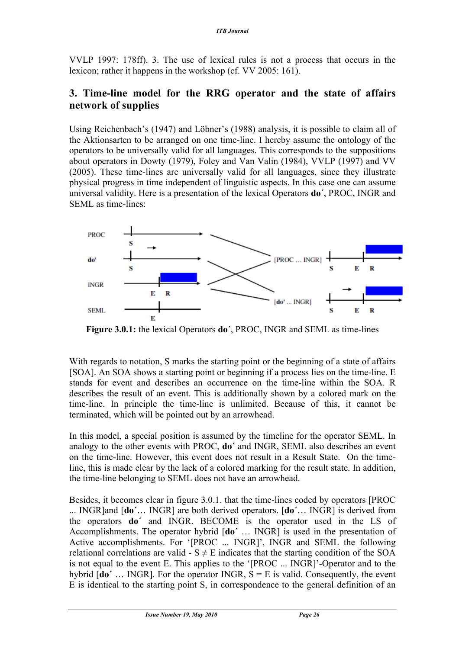VVLP 1997: 178ff). 3. The use of lexical rules is not a process that occurs in the lexicon; rather it happens in the workshop (cf. VV 2005: 161).

### **3. Time-line model for the RRG operator and the state of affairs network of supplies**

Using Reichenbach's (1947) and Löbner's (1988) analysis, it is possible to claim all of the Aktionsarten to be arranged on one time-line. I hereby assume the ontology of the operators to be universally valid for all languages. This corresponds to the suppositions about operators in Dowty (1979), Foley and Van Valin (1984), VVLP (1997) and VV (2005). These time-lines are universally valid for all languages, since they illustrate physical progress in time independent of linguistic aspects. In this case one can assume universal validity. Here is a presentation of the lexical Operators **do´**, PROC, INGR and SEML as time-lines:



**Figure 3.0.1:** the lexical Operators **do´**, PROC, INGR and SEML as time-lines

With regards to notation, S marks the starting point or the beginning of a state of affairs [SOA]. An SOA shows a starting point or beginning if a process lies on the time-line. E stands for event and describes an occurrence on the time-line within the SOA. R describes the result of an event. This is additionally shown by a colored mark on the time-line. In principle the time-line is unlimited. Because of this, it cannot be terminated, which will be pointed out by an arrowhead.

In this model, a special position is assumed by the timeline for the operator SEML. In analogy to the other events with PROC, **do´** and INGR, SEML also describes an event on the time-line. However, this event does not result in a Result State. On the timeline, this is made clear by the lack of a colored marking for the result state. In addition, the time-line belonging to SEML does not have an arrowhead.

Besides, it becomes clear in figure 3.0.1. that the time-lines coded by operators [PROC ... INGR]and [**do´**… INGR] are both derived operators. [**do´**… INGR] is derived from the operators **do´** and INGR. BECOME is the operator used in the LS of Accomplishments. The operator hybrid [**do´** … INGR] is used in the presentation of Active accomplishments. For '[PROC ... INGR]', INGR and SEML the following relational correlations are valid -  $S \neq E$  indicates that the starting condition of the SOA is not equal to the event E. This applies to the '[PROC ... INGR]'-Operator and to the hybrid  $\text{Ido}'$  ... INGR]. For the operator INGR,  $S = E$  is valid. Consequently, the event E is identical to the starting point S, in correspondence to the general definition of an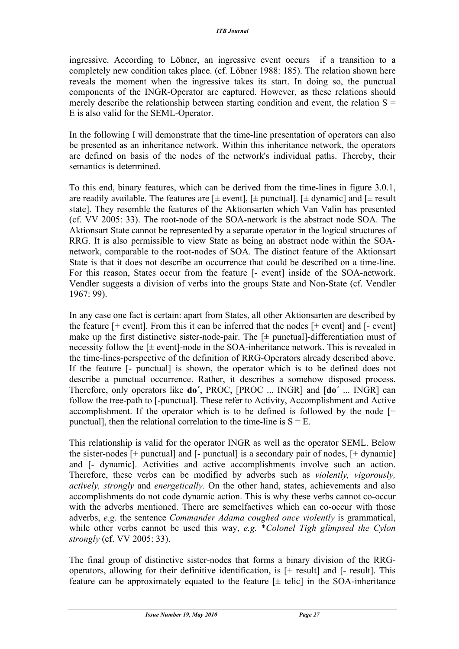ingressive. According to Löbner, an ingressive event occurs if a transition to a completely new condition takes place. (cf. Löbner 1988: 185). The relation shown here reveals the moment when the ingressive takes its start. In doing so, the punctual components of the INGR-Operator are captured. However, as these relations should merely describe the relationship between starting condition and event, the relation  $S =$ E is also valid for the SEML-Operator.

In the following I will demonstrate that the time-line presentation of operators can also be presented as an inheritance network. Within this inheritance network, the operators are defined on basis of the nodes of the network's individual paths. Thereby, their semantics is determined.

To this end, binary features, which can be derived from the time-lines in figure 3.0.1, are readily available. The features are  $[\pm$  event],  $[\pm$  punctual].  $[\pm$  dynamic] and  $[\pm$  result state]. They resemble the features of the Aktionsarten which Van Valin has presented (cf. VV 2005: 33). The root-node of the SOA-network is the abstract node SOA. The Aktionsart State cannot be represented by a separate operator in the logical structures of RRG. It is also permissible to view State as being an abstract node within the SOAnetwork, comparable to the root-nodes of SOA. The distinct feature of the Aktionsart State is that it does not describe an occurrence that could be described on a time-line. For this reason, States occur from the feature [- event] inside of the SOA-network. Vendler suggests a division of verbs into the groups State and Non-State (cf. Vendler 1967: 99).

In any case one fact is certain: apart from States, all other Aktionsarten are described by the feature  $[+$  event]. From this it can be inferred that the nodes  $[+$  event] and  $[$ - event] make up the first distinctive sister-node-pair. The  $[\pm$  punctual-differentiation must of necessity follow the  $[\pm$  event]-node in the SOA-inheritance network. This is revealed in the time-lines-perspective of the definition of RRG-Operators already described above. If the feature [- punctual] is shown, the operator which is to be defined does not describe a punctual occurrence. Rather, it describes a somehow disposed process. Therefore, only operators like **do´**, PROC, [PROC ... INGR] and [**do´** ... INGR] can follow the tree-path to [-punctual]. These refer to Activity, Accomplishment and Active accomplishment. If the operator which is to be defined is followed by the node [+ punctual], then the relational correlation to the time-line is  $S = E$ .

This relationship is valid for the operator INGR as well as the operator SEML. Below the sister-nodes  $[+$  punctual] and  $[$ - punctual] is a secondary pair of nodes,  $[+$  dynamic] and [- dynamic]. Activities and active accomplishments involve such an action. Therefore, these verbs can be modified by adverbs such as *violently, vigorously, actively, strongly* and *energetically.* On the other hand, states, achievements and also accomplishments do not code dynamic action. This is why these verbs cannot co-occur with the adverbs mentioned. There are semelfactives which can co-occur with those adverbs, *e.g.* the sentence *Commander Adama coughed once violently* is grammatical, while other verbs cannot be used this way, *e.g.* \**Colonel Tigh glimpsed the Cylon strongly* (cf. VV 2005: 33).

The final group of distinctive sister-nodes that forms a binary division of the RRGoperators, allowing for their definitive identification, is [+ result] and [- result]. This feature can be approximately equated to the feature  $[\pm$  telic in the SOA-inheritance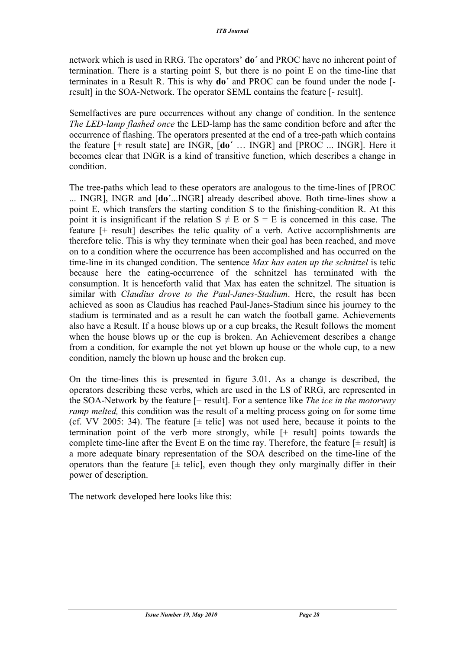network which is used in RRG. The operators' **do´** and PROC have no inherent point of termination. There is a starting point S, but there is no point E on the time-line that terminates in a Result R. This is why **do´** and PROC can be found under the node [ result] in the SOA-Network. The operator SEML contains the feature [- result].

Semelfactives are pure occurrences without any change of condition. In the sentence *The LED-lamp flashed once* the LED-lamp has the same condition before and after the occurrence of flashing. The operators presented at the end of a tree-path which contains the feature [+ result state] are INGR, [**do´** … INGR] and [PROC ... INGR]. Here it becomes clear that INGR is a kind of transitive function, which describes a change in condition.

The tree-paths which lead to these operators are analogous to the time-lines of [PROC ... INGR], INGR and [**do´**...INGR] already described above. Both time-lines show a point E, which transfers the starting condition S to the finishing-condition R. At this point it is insignificant if the relation  $S \neq E$  or  $S = E$  is concerned in this case. The feature [+ result] describes the telic quality of a verb. Active accomplishments are therefore telic. This is why they terminate when their goal has been reached, and move on to a condition where the occurrence has been accomplished and has occurred on the time-line in its changed condition. The sentence *Max has eaten up the schnitzel* is telic because here the eating-occurrence of the schnitzel has terminated with the consumption. It is henceforth valid that Max has eaten the schnitzel. The situation is similar with *Claudius drove to the Paul-Janes-Stadium*. Here, the result has been achieved as soon as Claudius has reached Paul-Janes-Stadium since his journey to the stadium is terminated and as a result he can watch the football game. Achievements also have a Result. If a house blows up or a cup breaks, the Result follows the moment when the house blows up or the cup is broken. An Achievement describes a change from a condition, for example the not yet blown up house or the whole cup, to a new condition, namely the blown up house and the broken cup.

On the time-lines this is presented in figure 3.01. As a change is described, the operators describing these verbs, which are used in the LS of RRG, are represented in the SOA-Network by the feature [+ result]. For a sentence like *The ice in the motorway ramp melted*, this condition was the result of a melting process going on for some time (cf. VV 2005: 34). The feature  $[\pm \text{ telic}]$  was not used here, because it points to the termination point of the verb more strongly, while [+ result] points towards the complete time-line after the Event E on the time ray. Therefore, the feature  $[\pm$  result] is a more adequate binary representation of the SOA described on the time-line of the operators than the feature  $[\pm$  telic], even though they only marginally differ in their power of description.

The network developed here looks like this: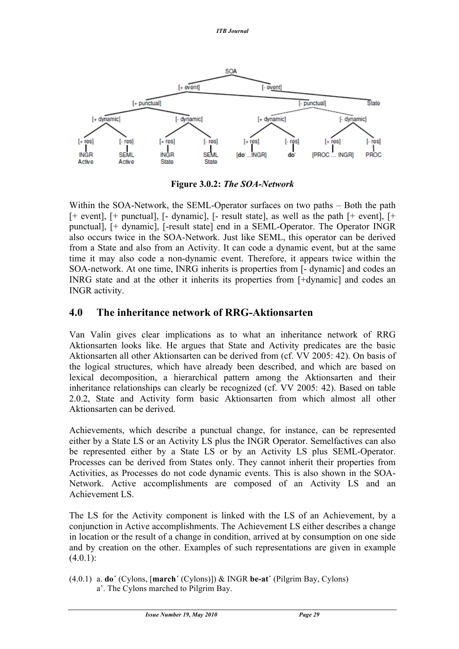*ITB Journal* 



**Figure 3.0.2:** *The SOA-Network*

Within the SOA-Network, the SEML-Operator surfaces on two paths – Both the path [+ event], [+ punctual], [- dynamic], [- result state], as well as the path [+ event], [+ punctual], [+ dynamic], [-result state] end in a SEML-Operator. The Operator INGR also occurs twice in the SOA-Network. Just like SEML, this operator can be derived from a State and also from an Activity. It can code a dynamic event, but at the same time it may also code a non-dynamic event. Therefore, it appears twice within the SOA-network. At one time, INRG inherits is properties from [- dynamic] and codes an INRG state and at the other it inherits its properties from [+dynamic] and codes an INGR activity.

### **4.0 The inheritance network of RRG-Aktionsarten**

Van Valin gives clear implications as to what an inheritance network of RRG Aktionsarten looks like. He argues that State and Activity predicates are the basic Aktionsarten all other Aktionsarten can be derived from (cf. VV 2005: 42). On basis of the logical structures, which have already been described, and which are based on lexical decomposition, a hierarchical pattern among the Aktionsarten and their inheritance relationships can clearly be recognized (cf. VV 2005: 42). Based on table 2.0.2, State and Activity form basic Aktionsarten from which almost all other Aktionsarten can be derived.

Achievements, which describe a punctual change, for instance, can be represented either by a State LS or an Activity LS plus the INGR Operator. Semelfactives can also be represented either by a State LS or by an Activity LS plus SEML-Operator. Processes can be derived from States only. They cannot inherit their properties from Activities, as Processes do not code dynamic events. This is also shown in the SOA-Network. Active accomplishments are composed of an Activity LS and an Achievement LS.

The LS for the Activity component is linked with the LS of an Achievement, by a conjunction in Active accomplishments. The Achievement LS either describes a change in location or the result of a change in condition, arrived at by consumption on one side and by creation on the other. Examples of such representations are given in example  $(4.0.1):$ 

(4.0.1) a. **do´** (Cylons, [**march´** (Cylons)]) & INGR **be-at´** (Pilgrim Bay, Cylons) a'. The Cylons marched to Pilgrim Bay.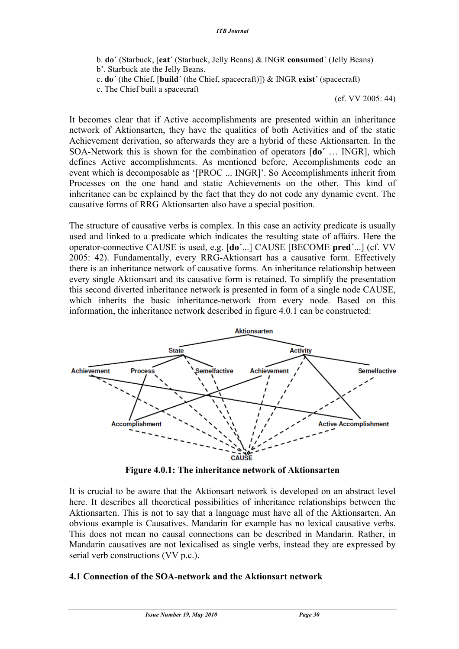- b. **do´** (Starbuck, [**eat´** (Starbuck, Jelly Beans) & INGR **consumed´** (Jelly Beans)
- b'. Starbuck ate the Jelly Beans.
- c. **do´** (the Chief, [**build´** (the Chief, spacecraft)]) & INGR **exist´** (spacecraft)
- c. The Chief built a spacecraft

(cf. VV 2005: 44)

It becomes clear that if Active accomplishments are presented within an inheritance network of Aktionsarten, they have the qualities of both Activities and of the static Achievement derivation, so afterwards they are a hybrid of these Aktionsarten. In the SOA-Network this is shown for the combination of operators [**do´** … INGR], which defines Active accomplishments. As mentioned before, Accomplishments code an event which is decomposable as '[PROC ... INGR]'. So Accomplishments inherit from Processes on the one hand and static Achievements on the other. This kind of inheritance can be explained by the fact that they do not code any dynamic event. The causative forms of RRG Aktionsarten also have a special position.

The structure of causative verbs is complex. In this case an activity predicate is usually used and linked to a predicate which indicates the resulting state of affairs. Here the operator-connective CAUSE is used, e.g. [**do´**...] CAUSE [BECOME **pred´**...] (cf. VV 2005: 42). Fundamentally, every RRG-Aktionsart has a causative form. Effectively there is an inheritance network of causative forms. An inheritance relationship between every single Aktionsart and its causative form is retained. To simplify the presentation this second diverted inheritance network is presented in form of a single node CAUSE, which inherits the basic inheritance-network from every node. Based on this information, the inheritance network described in figure 4.0.1 can be constructed:



**Figure 4.0.1: The inheritance network of Aktionsarten**

It is crucial to be aware that the Aktionsart network is developed on an abstract level here. It describes all theoretical possibilities of inheritance relationships between the Aktionsarten. This is not to say that a language must have all of the Aktionsarten. An obvious example is Causatives. Mandarin for example has no lexical causative verbs. This does not mean no causal connections can be described in Mandarin. Rather, in Mandarin causatives are not lexicalised as single verbs, instead they are expressed by serial verb constructions (VV p.c.).

### **4.1 Connection of the SOA-network and the Aktionsart network**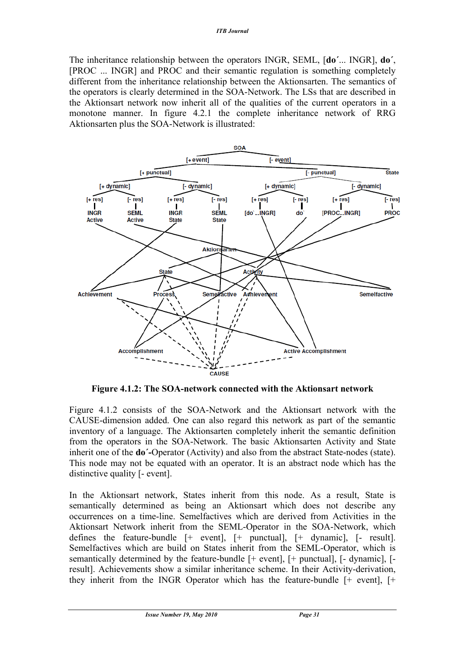The inheritance relationship between the operators INGR, SEML, [**do´**... INGR], **do´**, [PROC ... INGR] and PROC and their semantic regulation is something completely different from the inheritance relationship between the Aktionsarten. The semantics of the operators is clearly determined in the SOA-Network. The LSs that are described in the Aktionsart network now inherit all of the qualities of the current operators in a monotone manner. In figure 4.2.1 the complete inheritance network of RRG Aktionsarten plus the SOA-Network is illustrated:



**Figure 4.1.2: The SOA-network connected with the Aktionsart network**

Figure 4.1.2 consists of the SOA-Network and the Aktionsart network with the CAUSE-dimension added. One can also regard this network as part of the semantic inventory of a language. The Aktionsarten completely inherit the semantic definition from the operators in the SOA-Network. The basic Aktionsarten Activity and State inherit one of the **do´-**Operator (Activity) and also from the abstract State-nodes (state). This node may not be equated with an operator. It is an abstract node which has the distinctive quality [- event].

In the Aktionsart network, States inherit from this node. As a result, State is semantically determined as being an Aktionsart which does not describe any occurrences on a time-line. Semelfactives which are derived from Activities in the Aktionsart Network inherit from the SEML-Operator in the SOA-Network, which defines the feature-bundle [+ event], [+ punctual], [+ dynamic], [- result]. Semelfactives which are build on States inherit from the SEML-Operator, which is semantically determined by the feature-bundle [+ event], [+ punctual], [- dynamic], [ result]. Achievements show a similar inheritance scheme. In their Activity-derivation, they inherit from the INGR Operator which has the feature-bundle [+ event], [+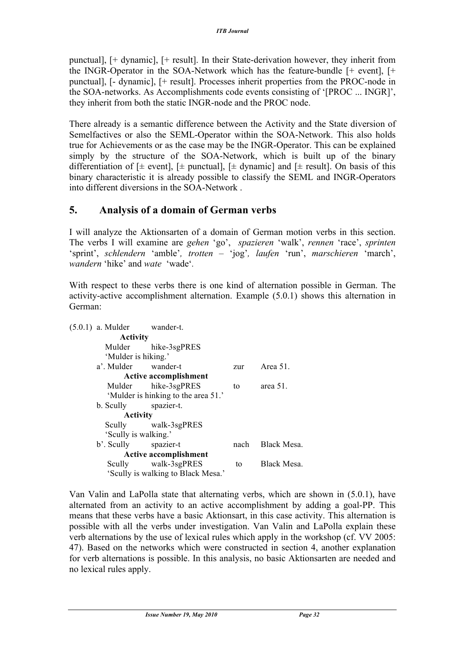punctual], [+ dynamic], [+ result]. In their State-derivation however, they inherit from the INGR-Operator in the SOA-Network which has the feature-bundle [+ event], [+ punctual], [- dynamic], [+ result]. Processes inherit properties from the PROC-node in the SOA-networks. As Accomplishments code events consisting of '[PROC ... INGR]', they inherit from both the static INGR-node and the PROC node.

There already is a semantic difference between the Activity and the State diversion of Semelfactives or also the SEML-Operator within the SOA-Network. This also holds true for Achievements or as the case may be the INGR-Operator. This can be explained simply by the structure of the SOA-Network, which is built up of the binary differentiation of  $[\pm$  event],  $[\pm$  punctual],  $[\pm$  dynamic] and  $[\pm$  result]. On basis of this binary characteristic it is already possible to classify the SEML and INGR-Operators into different diversions in the SOA-Network .

### **5. Analysis of a domain of German verbs**

I will analyze the Aktionsarten of a domain of German motion verbs in this section. The verbs I will examine are *gehen* 'go', *spazieren* 'walk', *rennen* 'race', *sprinten*  'sprint', *schlendern* 'amble'*, trotten –* 'jog'*, laufen* 'run', *marschieren* 'march', *wandern* 'hike' and *wate* 'wade'*.*

With respect to these verbs there is one kind of alternation possible in German. The activity-active accomplishment alternation. Example (5.0.1) shows this alternation in German:

| $(5.0.1)$ a. Mulder  | wander-t.                           |      |             |
|----------------------|-------------------------------------|------|-------------|
| <b>Activity</b>      |                                     |      |             |
| Mulder               | hike-3sgPRES                        |      |             |
| 'Mulder is hiking.'  |                                     |      |             |
| a'. Mulder wander-t  |                                     | zur  | Area 51.    |
|                      | <b>Active accomplishment</b>        |      |             |
|                      | Mulder hike-3sgPRES                 | to   | area $51$ . |
|                      | 'Mulder is hinking to the area 51.' |      |             |
| b. Scully            | spazier-t.                          |      |             |
| <b>Activity</b>      |                                     |      |             |
|                      | Scully walk-3sgPRES                 |      |             |
| 'Scully is walking.' |                                     |      |             |
| b'. Scully spazier-t |                                     | nach | Black Mesa. |
|                      | <b>Active accomplishment</b>        |      |             |
|                      | Scully walk-3sgPRES                 | to   | Black Mesa. |
|                      | 'Scully is walking to Black Mesa.'  |      |             |
|                      |                                     |      |             |

Van Valin and LaPolla state that alternating verbs, which are shown in (5.0.1), have alternated from an activity to an active accomplishment by adding a goal-PP. This means that these verbs have a basic Aktionsart, in this case activity. This alternation is possible with all the verbs under investigation. Van Valin and LaPolla explain these verb alternations by the use of lexical rules which apply in the workshop (cf. VV 2005: 47). Based on the networks which were constructed in section 4, another explanation for verb alternations is possible. In this analysis, no basic Aktionsarten are needed and no lexical rules apply.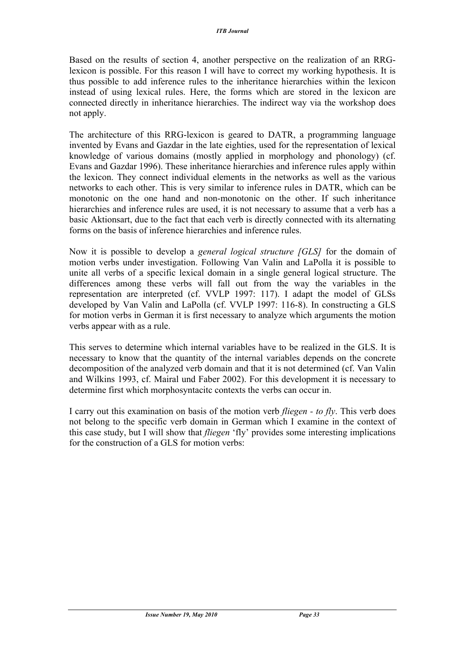Based on the results of section 4, another perspective on the realization of an RRGlexicon is possible. For this reason I will have to correct my working hypothesis. It is thus possible to add inference rules to the inheritance hierarchies within the lexicon instead of using lexical rules. Here, the forms which are stored in the lexicon are connected directly in inheritance hierarchies. The indirect way via the workshop does not apply.

The architecture of this RRG-lexicon is geared to DATR, a programming language invented by Evans and Gazdar in the late eighties, used for the representation of lexical knowledge of various domains (mostly applied in morphology and phonology) (cf. Evans and Gazdar 1996). These inheritance hierarchies and inference rules apply within the lexicon. They connect individual elements in the networks as well as the various networks to each other. This is very similar to inference rules in DATR, which can be monotonic on the one hand and non-monotonic on the other. If such inheritance hierarchies and inference rules are used, it is not necessary to assume that a verb has a basic Aktionsart, due to the fact that each verb is directly connected with its alternating forms on the basis of inference hierarchies and inference rules.

Now it is possible to develop a *general logical structure [GLS]* for the domain of motion verbs under investigation. Following Van Valin and LaPolla it is possible to unite all verbs of a specific lexical domain in a single general logical structure. The differences among these verbs will fall out from the way the variables in the representation are interpreted (cf. VVLP 1997: 117). I adapt the model of GLSs developed by Van Valin and LaPolla (cf. VVLP 1997: 116-8). In constructing a GLS for motion verbs in German it is first necessary to analyze which arguments the motion verbs appear with as a rule.

This serves to determine which internal variables have to be realized in the GLS. It is necessary to know that the quantity of the internal variables depends on the concrete decomposition of the analyzed verb domain and that it is not determined (cf. Van Valin and Wilkins 1993, cf. Mairal und Faber 2002). For this development it is necessary to determine first which morphosyntacitc contexts the verbs can occur in.

I carry out this examination on basis of the motion verb *fliegen - to fly*. This verb does not belong to the specific verb domain in German which I examine in the context of this case study, but I will show that *fliegen* 'fly' provides some interesting implications for the construction of a GLS for motion verbs: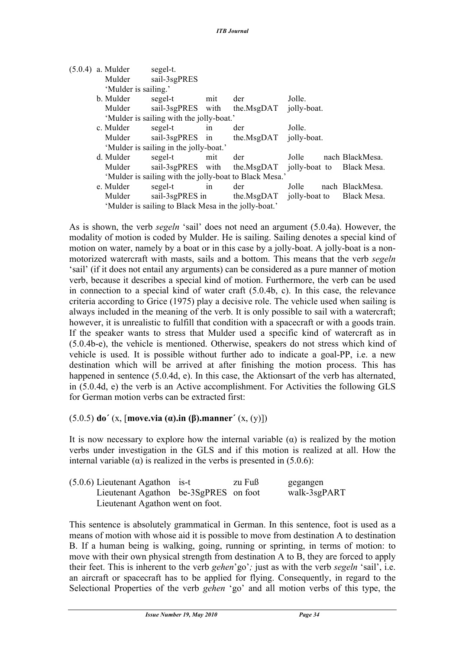| Mulder | sail-3sgPRES                                                            |                                  |                                                                                                                        |                                                                                                                                                            |                                    |                                                                                                           |
|--------|-------------------------------------------------------------------------|----------------------------------|------------------------------------------------------------------------------------------------------------------------|------------------------------------------------------------------------------------------------------------------------------------------------------------|------------------------------------|-----------------------------------------------------------------------------------------------------------|
|        |                                                                         |                                  |                                                                                                                        |                                                                                                                                                            |                                    |                                                                                                           |
|        | segel-t                                                                 | mit                              | der                                                                                                                    |                                                                                                                                                            |                                    |                                                                                                           |
| Mulder |                                                                         |                                  |                                                                                                                        |                                                                                                                                                            |                                    |                                                                                                           |
|        |                                                                         |                                  |                                                                                                                        |                                                                                                                                                            |                                    |                                                                                                           |
|        | segel-t                                                                 | 1n                               | der                                                                                                                    |                                                                                                                                                            |                                    |                                                                                                           |
| Mulder |                                                                         |                                  | the.MsgDAT                                                                                                             |                                                                                                                                                            |                                    |                                                                                                           |
|        |                                                                         |                                  |                                                                                                                        |                                                                                                                                                            |                                    |                                                                                                           |
|        | segel-t                                                                 | mit                              | der                                                                                                                    |                                                                                                                                                            |                                    | nach BlackMesa.                                                                                           |
| Mulder |                                                                         |                                  |                                                                                                                        |                                                                                                                                                            |                                    |                                                                                                           |
|        |                                                                         |                                  |                                                                                                                        |                                                                                                                                                            |                                    |                                                                                                           |
|        | segel-t                                                                 | in                               | der                                                                                                                    |                                                                                                                                                            |                                    | nach BlackMesa.                                                                                           |
| Mulder |                                                                         |                                  |                                                                                                                        |                                                                                                                                                            |                                    | Black Mesa.                                                                                               |
|        |                                                                         |                                  |                                                                                                                        |                                                                                                                                                            |                                    |                                                                                                           |
|        | $(5.0.4)$ a. Mulder<br>b. Mulder<br>c. Mulder<br>d. Mulder<br>e. Mulder | segel-t.<br>'Mulder is sailing.' | sail-3sgPRES with<br>sail-3sgPRES in<br>'Mulder is sailing in the jolly-boat.'<br>sail-3sgPRES with<br>sail-3sgPRES in | 'Mulder is sailing with the jolly-boat.'<br>'Mulder is sailing with the jolly-boat to Black Mesa.'<br>'Mulder is sailing to Black Mesa in the jolly-boat.' | Jolle.<br>Jolle.<br>Jolle<br>Jolle | the.MsgDAT jolly-boat.<br>jolly-boat.<br>the.MsgDAT jolly-boat to Black Mesa.<br>the.MsgDAT jolly-boat to |

As is shown, the verb *segeln* 'sail' does not need an argument (5.0.4a). However, the modality of motion is coded by Mulder. He is sailing. Sailing denotes a special kind of motion on water, namely by a boat or in this case by a jolly-boat. A jolly-boat is a nonmotorized watercraft with masts, sails and a bottom. This means that the verb *segeln*  'sail' (if it does not entail any arguments) can be considered as a pure manner of motion verb, because it describes a special kind of motion. Furthermore, the verb can be used in connection to a special kind of water craft (5.0.4b, c). In this case, the relevance criteria according to Grice (1975) play a decisive role. The vehicle used when sailing is always included in the meaning of the verb. It is only possible to sail with a watercraft; however, it is unrealistic to fulfill that condition with a spacecraft or with a goods train. If the speaker wants to stress that Mulder used a specific kind of watercraft as in (5.0.4b-e), the vehicle is mentioned. Otherwise, speakers do not stress which kind of vehicle is used. It is possible without further ado to indicate a goal-PP, i.e. a new destination which will be arrived at after finishing the motion process. This has happened in sentence (5.0.4d, e). In this case, the Aktionsart of the verb has alternated, in (5.0.4d, e) the verb is an Active accomplishment. For Activities the following GLS for German motion verbs can be extracted first:

(5.0.5) **do´** (x, [**move.via (α).in (β).manner´** (x, (y)])

It is now necessary to explore how the internal variable  $(\alpha)$  is realized by the motion verbs under investigation in the GLS and if this motion is realized at all. How the internal variable ( $\alpha$ ) is realized in the verbs is presented in (5.0.6):

| $(5.0.6)$ Lieutenant Agathon is-t     | zu Fuß | gegangen     |
|---------------------------------------|--------|--------------|
| Lieutenant Agathon be-3SgPRES on foot |        | walk-3sgPART |
| Lieutenant Agathon went on foot.      |        |              |

This sentence is absolutely grammatical in German. In this sentence, foot is used as a means of motion with whose aid it is possible to move from destination A to destination B. If a human being is walking, going, running or sprinting, in terms of motion: to move with their own physical strength from destination A to B, they are forced to apply their feet. This is inherent to the verb *gehen*'go'*;* just as with the verb *segeln* 'sail', i.e. an aircraft or spacecraft has to be applied for flying. Consequently, in regard to the Selectional Properties of the verb *gehen* 'go' and all motion verbs of this type, the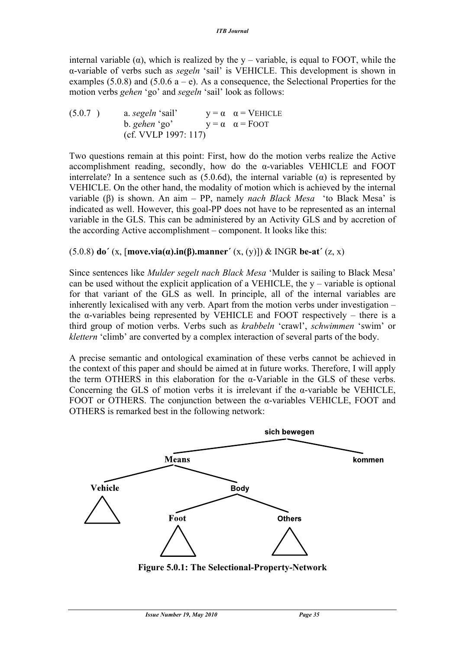internal variable (α), which is realized by the  $y$  – variable, is equal to FOOT, while the α-variable of verbs such as *segeln* 'sail' is VEHICLE. This development is shown in examples (5.0.8) and (5.0.6  $a - e$ ). As a consequence, the Selectional Properties for the motion verbs *gehen* 'go' and *segeln* 'sail' look as follows:

(5.0.7 ) a. *segeln* 'sail'  $y = \alpha$   $\alpha =$  VEHICLE b. *gehen* 'go'  $y = \alpha \quad \alpha =$  FOOT (cf. VVLP 1997: 117)

Two questions remain at this point: First, how do the motion verbs realize the Active accomplishment reading, secondly, how do the  $\alpha$ -variables VEHICLE and FOOT interrelate? In a sentence such as  $(5.0.6d)$ , the internal variable  $(\alpha)$  is represented by VEHICLE. On the other hand, the modality of motion which is achieved by the internal variable (β) is shown. An aim – PP, namely *nach Black Mesa* 'to Black Mesa' is indicated as well. However, this goal-PP does not have to be represented as an internal variable in the GLS. This can be administered by an Activity GLS and by accretion of the according Active accomplishment – component. It looks like this:

### (5.0.8) **do´** (x, [**move.via(α).in(β).manner´** (x, (y)]) & INGR **be-at´** (z, x)

Since sentences like *Mulder segelt nach Black Mesa* 'Mulder is sailing to Black Mesa' can be used without the explicit application of a VEHICLE, the  $y$  – variable is optional for that variant of the GLS as well. In principle, all of the internal variables are inherently lexicalised with any verb. Apart from the motion verbs under investigation – the α-variables being represented by VEHICLE and FOOT respectively – there is a third group of motion verbs. Verbs such as *krabbeln* 'crawl', *schwimmen* 'swim' or *klettern* 'climb' are converted by a complex interaction of several parts of the body.

A precise semantic and ontological examination of these verbs cannot be achieved in the context of this paper and should be aimed at in future works. Therefore, I will apply the term OTHERS in this elaboration for the  $\alpha$ -Variable in the GLS of these verbs. Concerning the GLS of motion verbs it is irrelevant if the  $\alpha$ -variable be VEHICLE, FOOT or OTHERS. The conjunction between the  $\alpha$ -variables VEHICLE, FOOT and OTHERS is remarked best in the following network:



**Figure 5.0.1: The Selectional-Property-Network**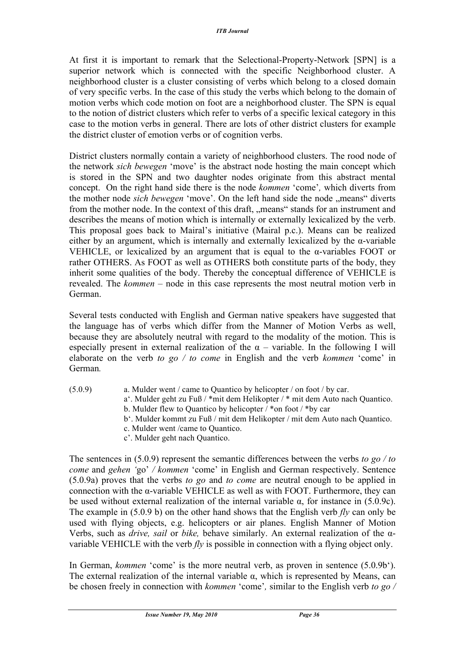At first it is important to remark that the Selectional-Property-Network [SPN] is a superior network which is connected with the specific Neighborhood cluster. A neighborhood cluster is a cluster consisting of verbs which belong to a closed domain of very specific verbs. In the case of this study the verbs which belong to the domain of motion verbs which code motion on foot are a neighborhood cluster. The SPN is equal to the notion of district clusters which refer to verbs of a specific lexical category in this case to the motion verbs in general. There are lots of other district clusters for example the district cluster of emotion verbs or of cognition verbs.

District clusters normally contain a variety of neighborhood clusters. The rood node of the network *sich bewegen* 'move' is the abstract node hosting the main concept which is stored in the SPN and two daughter nodes originate from this abstract mental concept. On the right hand side there is the node *kommen* 'come'*,* which diverts from the mother node *sich bewegen* 'move'. On the left hand side the node "means" diverts from the mother node. In the context of this draft, "means" stands for an instrument and describes the means of motion which is internally or externally lexicalized by the verb. This proposal goes back to Mairal's initiative (Mairal p.c.). Means can be realized either by an argument, which is internally and externally lexicalized by the α-variable VEHICLE, or lexicalized by an argument that is equal to the  $\alpha$ -variables FOOT or rather OTHERS. As FOOT as well as OTHERS both constitute parts of the body, they inherit some qualities of the body. Thereby the conceptual difference of VEHICLE is revealed. The *kommen* – node in this case represents the most neutral motion verb in German.

Several tests conducted with English and German native speakers have suggested that the language has of verbs which differ from the Manner of Motion Verbs as well, because they are absolutely neutral with regard to the modality of the motion. This is especially present in external realization of the  $\alpha$  – variable. In the following I will elaborate on the verb *to go / to come* in English and the verb *kommen* 'come' in German*.*

(5.0.9) a. Mulder went / came to Quantico by helicopter / on foot / by car. a'. Mulder geht zu Fuß / \*mit dem Helikopter / \* mit dem Auto nach Quantico. b. Mulder flew to Quantico by helicopter  $\ell$  \*on foot  $\ell$  \*by car b'. Mulder kommt zu Fuß / mit dem Helikopter / mit dem Auto nach Quantico. c. Mulder went /came to Quantico. c'. Mulder geht nach Quantico.

The sentences in (5.0.9) represent the semantic differences between the verbs *to go / to come* and *gehen '*go' */ kommen* 'come' in English and German respectively. Sentence (5.0.9a) proves that the verbs *to go* and *to come* are neutral enough to be applied in connection with the  $\alpha$ -variable VEHICLE as well as with FOOT. Furthermore, they can be used without external realization of the internal variable  $\alpha$ , for instance in (5.0.9c). The example in (5.0.9 b) on the other hand shows that the English verb *fly* can only be used with flying objects, e.g. helicopters or air planes. English Manner of Motion Verbs, such as *drive, sail* or *bike,* behave similarly. An external realization of the αvariable VEHICLE with the verb *fly* is possible in connection with a flying object only.

In German, *kommen* 'come' is the more neutral verb, as proven in sentence (5.0.9b'). The external realization of the internal variable  $\alpha$ , which is represented by Means, can be chosen freely in connection with *kommen* 'come'*,* similar to the English verb *to go /*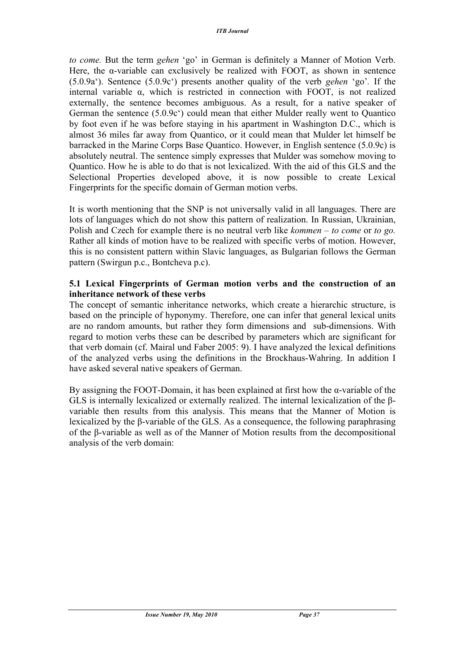*to come.* But the term *gehen* 'go' in German is definitely a Manner of Motion Verb. Here, the α-variable can exclusively be realized with FOOT, as shown in sentence (5.0.9a'). Sentence (5.0.9c') presents another quality of the verb *gehen* 'go'*.* If the internal variable  $\alpha$ , which is restricted in connection with FOOT, is not realized externally, the sentence becomes ambiguous. As a result, for a native speaker of German the sentence (5.0.9c') could mean that either Mulder really went to Quantico by foot even if he was before staying in his apartment in Washington D.C., which is almost 36 miles far away from Quantico, or it could mean that Mulder let himself be barracked in the Marine Corps Base Quantico. However, in English sentence (5.0.9c) is absolutely neutral. The sentence simply expresses that Mulder was somehow moving to Quantico. How he is able to do that is not lexicalized. With the aid of this GLS and the Selectional Properties developed above, it is now possible to create Lexical Fingerprints for the specific domain of German motion verbs.

It is worth mentioning that the SNP is not universally valid in all languages. There are lots of languages which do not show this pattern of realization. In Russian, Ukrainian, Polish and Czech for example there is no neutral verb like *kommen – to come* or *to go.* Rather all kinds of motion have to be realized with specific verbs of motion. However, this is no consistent pattern within Slavic languages, as Bulgarian follows the German pattern (Swirgun p.c., Bontcheva p.c).

#### **5.1 Lexical Fingerprints of German motion verbs and the construction of an inheritance network of these verbs**

The concept of semantic inheritance networks, which create a hierarchic structure, is based on the principle of hyponymy. Therefore, one can infer that general lexical units are no random amounts, but rather they form dimensions and sub-dimensions. With regard to motion verbs these can be described by parameters which are significant for that verb domain (cf. Mairal und Faber 2005: 9). I have analyzed the lexical definitions of the analyzed verbs using the definitions in the Brockhaus-Wahring. In addition I have asked several native speakers of German.

By assigning the FOOT-Domain, it has been explained at first how the α-variable of the GLS is internally lexicalized or externally realized. The internal lexicalization of the βvariable then results from this analysis. This means that the Manner of Motion is lexicalized by the β-variable of the GLS. As a consequence, the following paraphrasing of the β-variable as well as of the Manner of Motion results from the decompositional analysis of the verb domain: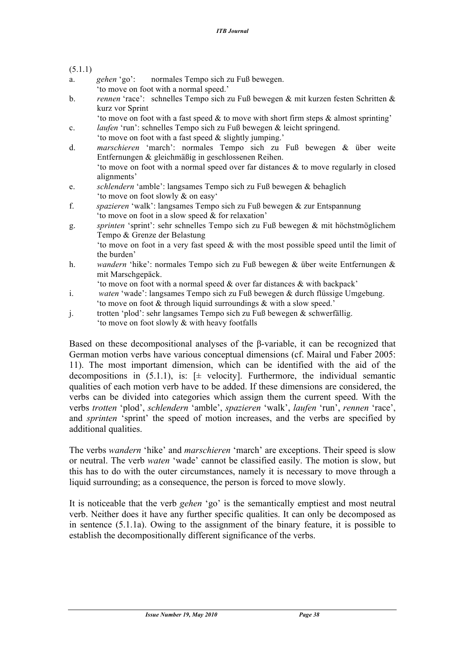- a. *gehen* 'go': normales Tempo sich zu Fuß bewegen. 'to move on foot with a normal speed.'
- b. *rennen* 'race': schnelles Tempo sich zu Fuß bewegen & mit kurzen festen Schritten & kurz vor Sprint
	- 'to move on foot with a fast speed  $\&$  to move with short firm steps  $\&$  almost sprinting'
- c. *laufen* 'run': schnelles Tempo sich zu Fuß bewegen & leicht springend.
- 'to move on foot with a fast speed & slightly jumping.'
- d. *marschieren* 'march': normales Tempo sich zu Fuß bewegen & über weite Entfernungen & gleichmäßig in geschlossenen Reihen. 'to move on foot with a normal speed over far distances  $\&$  to move regularly in closed alignments'
- e. *schlendern* 'amble': langsames Tempo sich zu Fuß bewegen & behaglich 'to move on foot slowly & on easy'
- f. *spazieren* 'walk': langsames Tempo sich zu Fuß bewegen & zur Entspannung 'to move on foot in a slow speed & for relaxation'
- g. *sprinten* 'sprint': sehr schnelles Tempo sich zu Fuß bewegen & mit höchstmöglichem Tempo & Grenze der Belastung 'to move on foot in a very fast speed & with the most possible speed until the limit of the burden'
- h. *wandern* 'hike': normales Tempo sich zu Fuß bewegen & über weite Entfernungen & mit Marschgepäck.
	- 'to move on foot with a normal speed & over far distances & with backpack'
- i. *waten* 'wade': langsames Tempo sich zu Fuß bewegen & durch flüssige Umgebung. 'to move on foot & through liquid surroundings & with a slow speed.'
- j. trotten 'plod': sehr langsames Tempo sich zu Fuß bewegen & schwerfällig. 'to move on foot slowly & with heavy footfalls

Based on these decompositional analyses of the β-variable, it can be recognized that German motion verbs have various conceptual dimensions (cf. Mairal und Faber 2005: 11). The most important dimension, which can be identified with the aid of the decompositions in  $(5.1.1)$ , is:  $[\pm \text{ velocity}]$ . Furthermore, the individual semantic qualities of each motion verb have to be added. If these dimensions are considered, the verbs can be divided into categories which assign them the current speed. With the verbs *trotten* 'plod', *schlendern* 'amble', *spazieren* 'walk', *laufen* 'run', *rennen* 'race', and *sprinten* 'sprint' the speed of motion increases, and the verbs are specified by additional qualities.

The verbs *wandern* 'hike' and *marschieren* 'march' are exceptions. Their speed is slow or neutral. The verb *waten* 'wade' cannot be classified easily. The motion is slow, but this has to do with the outer circumstances, namely it is necessary to move through a liquid surrounding; as a consequence, the person is forced to move slowly.

It is noticeable that the verb *gehen* 'go' is the semantically emptiest and most neutral verb. Neither does it have any further specific qualities. It can only be decomposed as in sentence (5.1.1a). Owing to the assignment of the binary feature, it is possible to establish the decompositionally different significance of the verbs.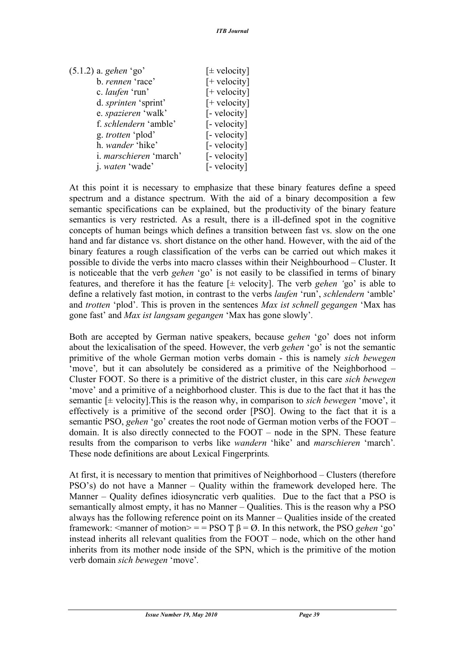| $(5.1.2)$ a. gehen 'go' | $[\pm$ velocity] |
|-------------------------|------------------|
| b. rennen 'race'        | $[+$ velocity]   |
| c. <i>laufen</i> 'run'  | $[+$ velocity]   |
| d. sprinten 'sprint'    | $[+$ velocity]   |
| e. spazieren 'walk'     | [- velocity]     |
| f. schlendern 'amble'   | [- velocity]     |
| g. trotten 'plod'       | [- velocity]     |
| h. wander 'hike'        | [- velocity]     |
| i. marschieren 'march'  | [- velocity]     |
| j. <i>waten</i> 'wade'  | [- velocity]     |

At this point it is necessary to emphasize that these binary features define a speed spectrum and a distance spectrum. With the aid of a binary decomposition a few semantic specifications can be explained, but the productivity of the binary feature semantics is very restricted. As a result, there is a ill-defined spot in the cognitive concepts of human beings which defines a transition between fast vs. slow on the one hand and far distance vs. short distance on the other hand. However, with the aid of the binary features a rough classification of the verbs can be carried out which makes it possible to divide the verbs into macro classes within their Neighbourhood – Cluster. It is noticeable that the verb *gehen* 'go' is not easily to be classified in terms of binary features, and therefore it has the feature [± velocity]. The verb *gehen '*go' is able to define a relatively fast motion, in contrast to the verbs *laufen* 'run', *schlendern* 'amble' and *trotten* 'plod'. This is proven in the sentences *Max ist schnell gegangen* 'Max has gone fast' and *Max ist langsam gegangen* 'Max has gone slowly'*.* 

Both are accepted by German native speakers, because *gehen* 'go' does not inform about the lexicalisation of the speed. However, the verb *gehen* 'go' is not the semantic primitive of the whole German motion verbs domain - this is namely *sich bewegen*  'move'*,* but it can absolutely be considered as a primitive of the Neighborhood – Cluster FOOT. So there is a primitive of the district cluster, in this care *sich bewegen*  'move' and a primitive of a neighborhood cluster. This is due to the fact that it has the semantic [± velocity].This is the reason why, in comparison to *sich bewegen* 'move', it effectively is a primitive of the second order [PSO]. Owing to the fact that it is a semantic PSO, *gehen* 'go' creates the root node of German motion verbs of the FOOT – domain. It is also directly connected to the FOOT – node in the SPN. These feature results from the comparison to verbs like *wandern* 'hike' and *marschieren* 'march'*.*  These node definitions are about Lexical Fingerprints*.*

At first, it is necessary to mention that primitives of Neighborhood – Clusters (therefore PSO's) do not have a Manner – Quality within the framework developed here. The Manner – Quality defines idiosyncratic verb qualities. Due to the fact that a PSO is semantically almost empty, it has no Manner – Qualities. This is the reason why a PSO always has the following reference point on its Manner – Qualities inside of the created framework:  $\leq$ manner of motion $\geq$  = PSO T  $\beta$  = Ø. In this network, the PSO *gehen 'go'* instead inherits all relevant qualities from the FOOT – node, which on the other hand inherits from its mother node inside of the SPN, which is the primitive of the motion verb domain *sich bewegen* 'move'*.*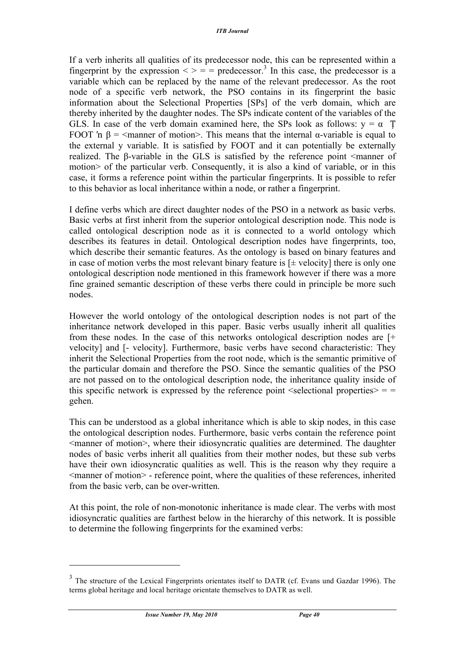If a verb inherits all qualities of its predecessor node, this can be represented within a fingerprint by the expression  $\langle \rangle =$  = predecessor.<sup>3</sup> In this case, the predecessor is a variable which can be replaced by the name of the relevant predecessor. As the root node of a specific verb network, the PSO contains in its fingerprint the basic information about the Selectional Properties [SPs] of the verb domain, which are thereby inherited by the daughter nodes. The SPs indicate content of the variables of the GLS. In case of the verb domain examined here, the SPs look as follows:  $y = \alpha$  T FOOT 'n  $\beta$  =  $\leq$ manner of motion>. This means that the internal α-variable is equal to the external y variable. It is satisfied by FOOT and it can potentially be externally realized. The β-variable in the GLS is satisfied by the reference point <manner of motion> of the particular verb. Consequently, it is also a kind of variable, or in this case, it forms a reference point within the particular fingerprints. It is possible to refer to this behavior as local inheritance within a node, or rather a fingerprint.

I define verbs which are direct daughter nodes of the PSO in a network as basic verbs. Basic verbs at first inherit from the superior ontological description node. This node is called ontological description node as it is connected to a world ontology which describes its features in detail. Ontological description nodes have fingerprints, too, which describe their semantic features. As the ontology is based on binary features and in case of motion verbs the most relevant binary feature is  $[\pm$  velocity] there is only one ontological description node mentioned in this framework however if there was a more fine grained semantic description of these verbs there could in principle be more such nodes.

However the world ontology of the ontological description nodes is not part of the inheritance network developed in this paper. Basic verbs usually inherit all qualities from these nodes. In the case of this networks ontological description nodes are [+ velocity] and [- velocity]. Furthermore, basic verbs have second characteristic: They inherit the Selectional Properties from the root node, which is the semantic primitive of the particular domain and therefore the PSO. Since the semantic qualities of the PSO are not passed on to the ontological description node, the inheritance quality inside of this specific network is expressed by the reference point  $\leq$  selectional properties $\geq$  = = gehen.

This can be understood as a global inheritance which is able to skip nodes, in this case the ontological description nodes. Furthermore, basic verbs contain the reference point  $\leq$ manner of motion $\geq$ , where their idiosyncratic qualities are determined. The daughter nodes of basic verbs inherit all qualities from their mother nodes, but these sub verbs have their own idiosyncratic qualities as well. This is the reason why they require a  $\leq$ manner of motion $\geq$  - reference point, where the qualities of these references, inherited from the basic verb, can be over-written.

At this point, the role of non-monotonic inheritance is made clear. The verbs with most idiosyncratic qualities are farthest below in the hierarchy of this network. It is possible to determine the following fingerprints for the examined verbs:

 $\overline{a}$ 

<sup>&</sup>lt;sup>3</sup> The structure of the Lexical Fingerprints orientates itself to DATR (cf. Evans und Gazdar 1996). The terms global heritage and local heritage orientate themselves to DATR as well.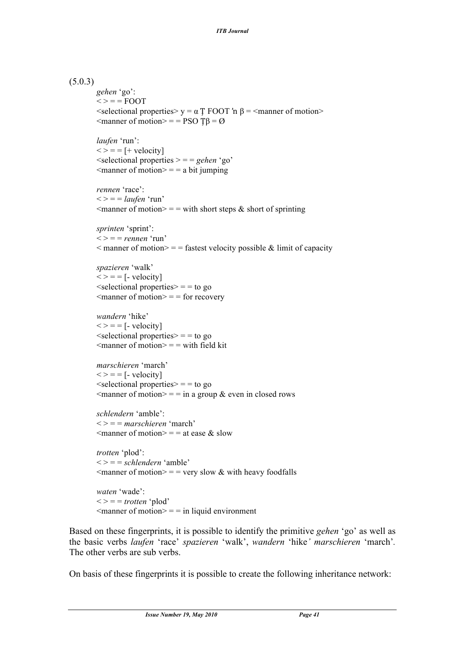#### (5.0.3)

```
gehen 'go':
\langle \rangle = FQOT\leqselectional properties> y = \alpha T FOOT 'n \beta = \leqmanner of motion>\leqmanner of motion\geq = = PSO T\beta = \varnothinglaufen 'run':
\langle \rangle = = [+ velocity]
<selectional properties > = = gehen 'go'
\leqmanner of motion\geq = = a bit jumping
rennen 'race':
\langle \rangle = = |aufen 'run'
\leqmanner of motion\geq = = with short steps & short of sprinting
sprinten 'sprint':
\langle \rangle = \rangle = rennen 'run'
\leq manner of motion\geq = = fastest velocity possible & limit of capacity
spazieren 'walk'
\langle \rangle = = \langle - velocity
\leqselectional properties\geq = \neq to go
\leqmanner of motion\geq = = for recovery
wandern 'hike'
\langle \rangle = = \langle - velocity
\leqselectional properties\geq = = to go
\leqmanner of motion\geq = = with field kit
marschieren 'march'
\langle \rangle = = [- velocity]
\leqselectional properties\geq = = to go
\leqmanner of motion\geq = = in a group & even in closed rows
schlendern 'amble':
< > = = marschieren 'march'
\leqmanner of motion\geq = = at ease & slow
trotten 'plod':
\langle \rangle = = schlendern 'amble'
\leqmanner of motion\geq = very slow & with heavy foodfalls
waten 'wade':
\langle \rangle = \rangle = \frac{t}{t} \langle \text{plot} \rangle\leqmanner of motion\geq = = in liquid environment
```
Based on these fingerprints, it is possible to identify the primitive *gehen* 'go' as well as the basic verbs *laufen* 'race' *spazieren* 'walk', *wandern* 'hike*' marschieren* 'march'*.*  The other verbs are sub verbs.

On basis of these fingerprints it is possible to create the following inheritance network: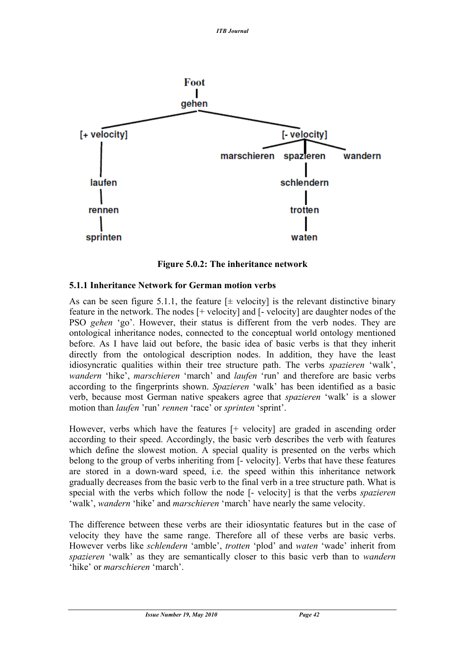

**Figure 5.0.2: The inheritance network**

### **5.1.1 Inheritance Network for German motion verbs**

As can be seen figure 5.1.1, the feature  $[\pm$  velocity] is the relevant distinctive binary feature in the network. The nodes [+ velocity] and [- velocity] are daughter nodes of the PSO *gehen* 'go'. However, their status is different from the verb nodes. They are ontological inheritance nodes, connected to the conceptual world ontology mentioned before. As I have laid out before, the basic idea of basic verbs is that they inherit directly from the ontological description nodes. In addition, they have the least idiosyncratic qualities within their tree structure path. The verbs *spazieren* 'walk', *wandern* 'hike', *marschieren* 'march' and *laufen* 'run' and therefore are basic verbs according to the fingerprints shown. *Spazieren* 'walk' has been identified as a basic verb, because most German native speakers agree that *spazieren* 'walk' is a slower motion than *laufen* 'run' *rennen* 'race' or *sprinten* 'sprint'.

However, verbs which have the features [+ velocity] are graded in ascending order according to their speed. Accordingly, the basic verb describes the verb with features which define the slowest motion. A special quality is presented on the verbs which belong to the group of verbs inheriting from [- velocity]. Verbs that have these features are stored in a down-ward speed, i.e. the speed within this inheritance network gradually decreases from the basic verb to the final verb in a tree structure path. What is special with the verbs which follow the node [- velocity] is that the verbs *spazieren*  'walk', *wandern* 'hike' and *marschieren* 'march' have nearly the same velocity.

The difference between these verbs are their idiosyntatic features but in the case of velocity they have the same range. Therefore all of these verbs are basic verbs. However verbs like *schlendern* 'amble', *trotten* 'plod' and *waten* 'wade' inherit from *spazieren* 'walk' as they are semantically closer to this basic verb than to *wandern*  'hike' or *marschieren* 'march'.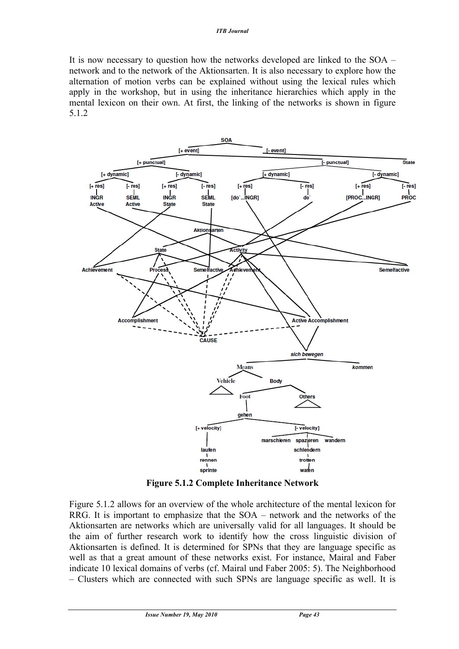It is now necessary to question how the networks developed are linked to the SOA – network and to the network of the Aktionsarten. It is also necessary to explore how the alternation of motion verbs can be explained without using the lexical rules which apply in the workshop, but in using the inheritance hierarchies which apply in the mental lexicon on their own. At first, the linking of the networks is shown in figure 5.1.2



**Figure 5.1.2 Complete Inheritance Network**

Figure 5.1.2 allows for an overview of the whole architecture of the mental lexicon for RRG. It is important to emphasize that the SOA – network and the networks of the Aktionsarten are networks which are universally valid for all languages. It should be the aim of further research work to identify how the cross linguistic division of Aktionsarten is defined. It is determined for SPNs that they are language specific as well as that a great amount of these networks exist. For instance, Mairal and Faber indicate 10 lexical domains of verbs (cf. Mairal und Faber 2005: 5). The Neighborhood – Clusters which are connected with such SPNs are language specific as well. It is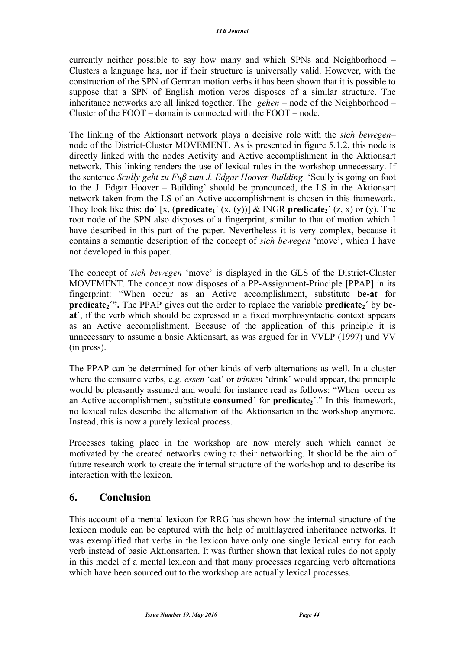currently neither possible to say how many and which SPNs and Neighborhood – Clusters a language has, nor if their structure is universally valid. However, with the construction of the SPN of German motion verbs it has been shown that it is possible to suppose that a SPN of English motion verbs disposes of a similar structure. The inheritance networks are all linked together. The *gehen* – node of the Neighborhood – Cluster of the FOOT – domain is connected with the FOOT – node.

The linking of the Aktionsart network plays a decisive role with the *sich bewegen*– node of the District-Cluster MOVEMENT. As is presented in figure 5.1.2, this node is directly linked with the nodes Activity and Active accomplishment in the Aktionsart network. This linking renders the use of lexical rules in the workshop unnecessary. If the sentence *Scully geht zu Fuß zum J. Edgar Hoover Building* 'Scully is going on foot to the J. Edgar Hoover – Building' should be pronounced, the LS in the Aktionsart network taken from the LS of an Active accomplishment is chosen in this framework. They look like this: **do**<sup> $\prime$ </sup> [x, (**predicate**<sub>1</sub> $\prime$  (x, (y))] & INGR **predicate**<sub>2</sub> $\prime$  (z, x) or (y). The root node of the SPN also disposes of a fingerprint, similar to that of motion which I have described in this part of the paper. Nevertheless it is very complex, because it contains a semantic description of the concept of *sich bewegen* 'move', which I have not developed in this paper.

The concept of *sich bewegen* 'move' is displayed in the GLS of the District-Cluster MOVEMENT. The concept now disposes of a PP-Assignment-Principle [PPAP] in its fingerprint: "When occur as an Active accomplishment, substitute **be-at** for **predicate<sub>2</sub><sup>"</sup>. The PPAP gives out the order to replace the variable <b>predicate**<sub>2</sub><sup>'</sup> by **beat´**, if the verb which should be expressed in a fixed morphosyntactic context appears as an Active accomplishment. Because of the application of this principle it is unnecessary to assume a basic Aktionsart, as was argued for in VVLP (1997) und VV (in press).

The PPAP can be determined for other kinds of verb alternations as well. In a cluster where the consume verbs, e.g. *essen* 'eat' or *trinken* 'drink' would appear, the principle would be pleasantly assumed and would for instance read as follows: "When occur as an Active accomplishment, substitute **consumed** for **predicate**<sub>2</sub>'." In this framework, no lexical rules describe the alternation of the Aktionsarten in the workshop anymore. Instead, this is now a purely lexical process.

Processes taking place in the workshop are now merely such which cannot be motivated by the created networks owing to their networking. It should be the aim of future research work to create the internal structure of the workshop and to describe its interaction with the lexicon.

### **6. Conclusion**

This account of a mental lexicon for RRG has shown how the internal structure of the lexicon module can be captured with the help of multilayered inheritance networks. It was exemplified that verbs in the lexicon have only one single lexical entry for each verb instead of basic Aktionsarten. It was further shown that lexical rules do not apply in this model of a mental lexicon and that many processes regarding verb alternations which have been sourced out to the workshop are actually lexical processes.